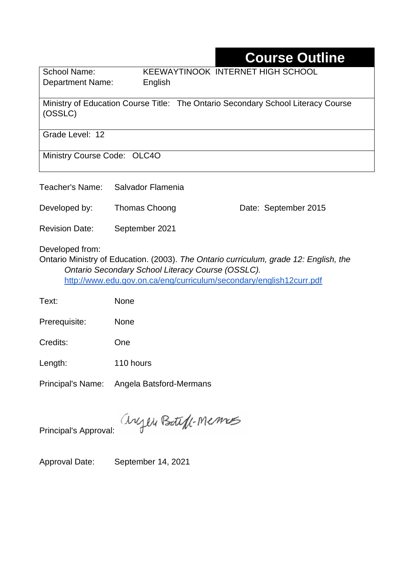# **Course Outline**

Department Name:English

School Name: KEEWAYTINOOK INTERNET HIGH SCHOOL

Ministry of Education Course Title: The Ontario Secondary School Literacy Course (OSSLC)

Grade Level: 12

Ministry Course Code: OLC4O

Teacher's Name: Salvador Flamenia

Developed by: Thomas Choong Date: September 2015

Revision Date: September 2021

Developed from:

Ontario Ministry of Education. (2003). *The Ontario curriculum, grade 12: English, the Ontario Secondary School Literacy Course (OSSLC).*  <http://www.edu.gov.on.ca/eng/curriculum/secondary/english12curr.pdf>

Text: None

Prerequisite: None

Length: 110 hours

Principal's Name: Angela Batsford-Mermans

anyen Boteff-Memos

Principal's Approval:

Approval Date: September 14, 2021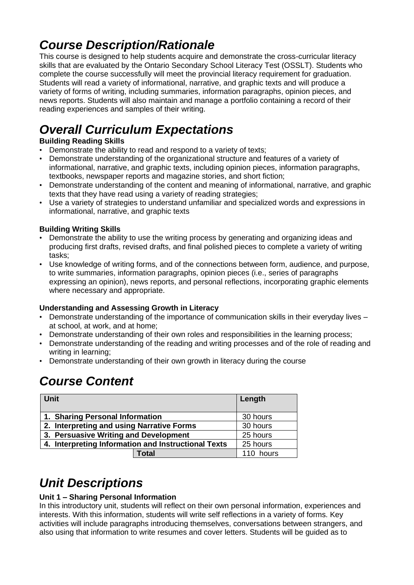## *Course Description/Rationale*

This course is designed to help students acquire and demonstrate the cross-curricular literacy skills that are evaluated by the Ontario Secondary School Literacy Test (OSSLT). Students who complete the course successfully will meet the provincial literacy requirement for graduation. Students will read a variety of informational, narrative, and graphic texts and will produce a variety of forms of writing, including summaries, information paragraphs, opinion pieces, and news reports. Students will also maintain and manage a portfolio containing a record of their reading experiences and samples of their writing.

# *Overall Curriculum Expectations*

#### **Building Reading Skills**

- Demonstrate the ability to read and respond to a variety of texts;
- Demonstrate understanding of the organizational structure and features of a variety of informational, narrative, and graphic texts, including opinion pieces, information paragraphs, textbooks, newspaper reports and magazine stories, and short fiction;
- Demonstrate understanding of the content and meaning of informational, narrative, and graphic texts that they have read using a variety of reading strategies;
- Use a variety of strategies to understand unfamiliar and specialized words and expressions in informational, narrative, and graphic texts

#### **Building Writing Skills**

- Demonstrate the ability to use the writing process by generating and organizing ideas and producing first drafts, revised drafts, and final polished pieces to complete a variety of writing tasks;
- Use knowledge of writing forms, and of the connections between form, audience, and purpose, to write summaries, information paragraphs, opinion pieces (i.e., series of paragraphs expressing an opinion), news reports, and personal reflections, incorporating graphic elements where necessary and appropriate.

#### **Understanding and Assessing Growth in Literacy**

- Demonstrate understanding of the importance of communication skills in their everyday lives at school, at work, and at home;
- Demonstrate understanding of their own roles and responsibilities in the learning process;
- Demonstrate understanding of the reading and writing processes and of the role of reading and writing in learning;
- Demonstrate understanding of their own growth in literacy during the course

### *Course Content*

| <b>Unit</b>                                         | Length    |
|-----------------------------------------------------|-----------|
| 1. Sharing Personal Information                     | 30 hours  |
| 2. Interpreting and using Narrative Forms           | 30 hours  |
| 3. Persuasive Writing and Development               | 25 hours  |
| 4. Interpreting Information and Instructional Texts | 25 hours  |
| Total                                               | 110 hours |

## *Unit Descriptions*

#### **Unit 1 – Sharing Personal Information**

In this introductory unit, students will reflect on their own personal information, experiences and interests. With this information, students will write self reflections in a variety of forms. Key activities will include paragraphs introducing themselves, conversations between strangers, and also using that information to write resumes and cover letters. Students will be guided as to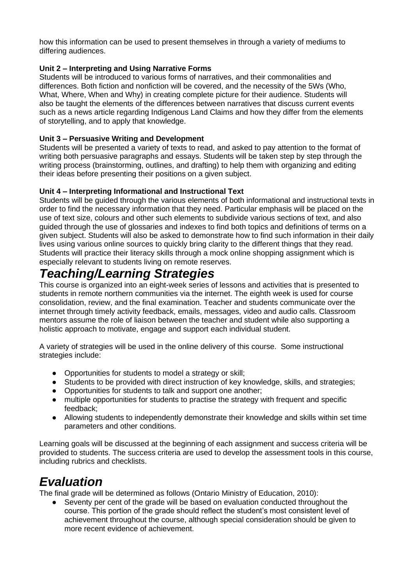how this information can be used to present themselves in through a variety of mediums to differing audiences.

#### **Unit 2 – Interpreting and Using Narrative Forms**

Students will be introduced to various forms of narratives, and their commonalities and differences. Both fiction and nonfiction will be covered, and the necessity of the 5Ws (Who, What, Where, When and Why) in creating complete picture for their audience. Students will also be taught the elements of the differences between narratives that discuss current events such as a news article regarding Indigenous Land Claims and how they differ from the elements of storytelling, and to apply that knowledge.

#### **Unit 3 – Persuasive Writing and Development**

Students will be presented a variety of texts to read, and asked to pay attention to the format of writing both persuasive paragraphs and essays. Students will be taken step by step through the writing process (brainstorming, outlines, and drafting) to help them with organizing and editing their ideas before presenting their positions on a given subject.

#### **Unit 4 – Interpreting Informational and Instructional Text**

Students will be guided through the various elements of both informational and instructional texts in order to find the necessary information that they need. Particular emphasis will be placed on the use of text size, colours and other such elements to subdivide various sections of text, and also guided through the use of glossaries and indexes to find both topics and definitions of terms on a given subject. Students will also be asked to demonstrate how to find such information in their daily lives using various online sources to quickly bring clarity to the different things that they read. Students will practice their literacy skills through a mock online shopping assignment which is especially relevant to students living on remote reserves.

### *Teaching/Learning Strategies*

This course is organized into an eight-week series of lessons and activities that is presented to students in remote northern communities via the internet. The eighth week is used for course consolidation, review, and the final examination. Teacher and students communicate over the internet through timely activity feedback, emails, messages, video and audio calls. Classroom mentors assume the role of liaison between the teacher and student while also supporting a holistic approach to motivate, engage and support each individual student.

A variety of strategies will be used in the online delivery of this course. Some instructional strategies include:

- Opportunities for students to model a strategy or skill;
- Students to be provided with direct instruction of key knowledge, skills, and strategies;
- Opportunities for students to talk and support one another;
- multiple opportunities for students to practise the strategy with frequent and specific feedback;
- Allowing students to independently demonstrate their knowledge and skills within set time parameters and other conditions.

Learning goals will be discussed at the beginning of each assignment and success criteria will be provided to students. The success criteria are used to develop the assessment tools in this course, including rubrics and checklists.

### *Evaluation*

The final grade will be determined as follows (Ontario Ministry of Education, 2010):

Seventy per cent of the grade will be based on evaluation conducted throughout the course. This portion of the grade should reflect the student's most consistent level of achievement throughout the course, although special consideration should be given to more recent evidence of achievement.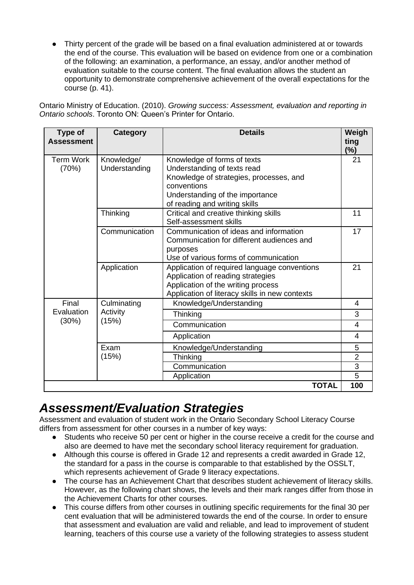● Thirty percent of the grade will be based on a final evaluation administered at or towards the end of the course. This evaluation will be based on evidence from one or a combination of the following: an examination, a performance, an essay, and/or another method of evaluation suitable to the course content. The final evaluation allows the student an opportunity to demonstrate comprehensive achievement of the overall expectations for the course (p. 41).

Ontario Ministry of Education. (2010). *Growing success: Assessment, evaluation and reporting in Ontario schools*. Toronto ON: Queen's Printer for Ontario.

| <b>Term Work</b><br>Knowledge/<br>Knowledge of forms of texts                                                                                                                            | $(\%)$<br>21                          |
|------------------------------------------------------------------------------------------------------------------------------------------------------------------------------------------|---------------------------------------|
| Understanding<br>Understanding of texts read<br>(70%)<br>Knowledge of strategies, processes, and<br>conventions<br>Understanding of the importance                                       |                                       |
| of reading and writing skills<br>Critical and creative thinking skills<br>Thinking<br>Self-assessment skills                                                                             | 11                                    |
| Communication<br>Communication of ideas and information<br>Communication for different audiences and<br>purposes<br>Use of various forms of communication                                | 17                                    |
| Application<br>Application of required language conventions<br>Application of reading strategies<br>Application of the writing process<br>Application of literacy skills in new contexts | 21                                    |
| Final<br>Culminating<br>Knowledge/Understanding                                                                                                                                          | 4                                     |
| Evaluation<br>Activity<br>Thinking<br>(30%)<br>(15%)                                                                                                                                     | 3                                     |
| Communication                                                                                                                                                                            | 4                                     |
| Application                                                                                                                                                                              | 4                                     |
| Exam<br>Knowledge/Understanding                                                                                                                                                          | 5                                     |
| (15%)<br>Thinking                                                                                                                                                                        | $\overline{2}$                        |
| Communication                                                                                                                                                                            | $\overline{3}$                        |
| Application                                                                                                                                                                              | $\overline{5}$<br><b>TOTAL</b><br>100 |

## *Assessment/Evaluation Strategies*

Assessment and evaluation of student work in the Ontario Secondary School Literacy Course differs from assessment for other courses in a number of key ways:

- Students who receive 50 per cent or higher in the course receive a credit for the course and also are deemed to have met the secondary school literacy requirement for graduation.
- Although this course is offered in Grade 12 and represents a credit awarded in Grade 12, the standard for a pass in the course is comparable to that established by the OSSLT, which represents achievement of Grade 9 literacy expectations.
- The course has an Achievement Chart that describes student achievement of literacy skills. However, as the following chart shows, the levels and their mark ranges differ from those in the Achievement Charts for other courses.
- This course differs from other courses in outlining specific requirements for the final 30 per cent evaluation that will be administered towards the end of the course. In order to ensure that assessment and evaluation are valid and reliable, and lead to improvement of student learning, teachers of this course use a variety of the following strategies to assess student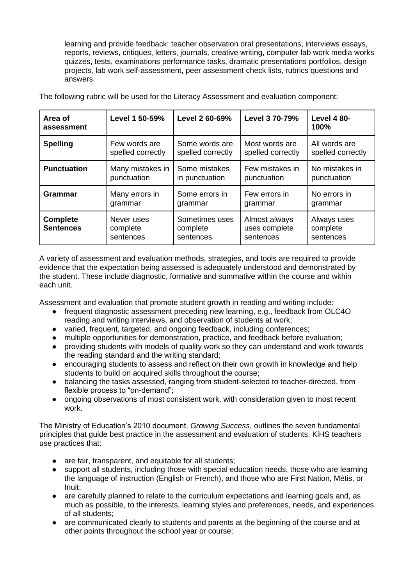learning and provide feedback: teacher observation oral presentations, interviews essays, reports, reviews, critiques, letters, journals, creative writing, computer lab work media works quizzes, tests, examinations performance tasks, dramatic presentations portfolios, design projects, lab work self-assessment, peer assessment check lists, rubrics questions and answers.

| Area of<br>assessment               | Level 1 50-59%                      | Level 2 60-69%                          | Level 3 70-79%                              | <b>Level 4 80-</b><br>100%           |
|-------------------------------------|-------------------------------------|-----------------------------------------|---------------------------------------------|--------------------------------------|
| <b>Spelling</b>                     | Few words are                       | Some words are                          | Most words are                              | All words are                        |
|                                     | spelled correctly                   | spelled correctly                       | spelled correctly                           | spelled correctly                    |
| <b>Punctuation</b>                  | Many mistakes in                    | Some mistakes                           | Few mistakes in                             | No mistakes in                       |
|                                     | punctuation                         | in punctuation                          | punctuation                                 | punctuation                          |
| Grammar                             | Many errors in                      | Some errors in                          | Few errors in                               | No errors in                         |
|                                     | grammar                             | grammar                                 | grammar                                     | grammar                              |
| <b>Complete</b><br><b>Sentences</b> | Never uses<br>complete<br>sentences | Sometimes uses<br>complete<br>sentences | Almost always<br>uses complete<br>sentences | Always uses<br>complete<br>sentences |

The following rubric will be used for the Literacy Assessment and evaluation component:

A variety of assessment and evaluation methods, strategies, and tools are required to provide evidence that the expectation being assessed is adequately understood and demonstrated by the student. These include diagnostic, formative and summative within the course and within each unit.

Assessment and evaluation that promote student growth in reading and writing include:

- frequent diagnostic assessment preceding new learning, e.g., feedback from OLC4O reading and writing interviews, and observation of students at work;
- varied, frequent, targeted, and ongoing feedback, including conferences;
- multiple opportunities for demonstration, practice, and feedback before evaluation;
- providing students with models of quality work so they can understand and work towards the reading standard and the writing standard;
- encouraging students to assess and reflect on their own growth in knowledge and help students to build on acquired skills throughout the course;
- balancing the tasks assessed, ranging from student-selected to teacher-directed, from flexible process to "on-demand";
- ongoing observations of most consistent work, with consideration given to most recent work.

The Ministry of Education's 2010 document, *Growing Success*, outlines the seven fundamental principles that guide best practice in the assessment and evaluation of students. KiHS teachers use practices that:

- are fair, transparent, and equitable for all students;
- support all students, including those with special education needs, those who are learning the language of instruction (English or French), and those who are First Nation, Métis, or Inuit;
- are carefully planned to relate to the curriculum expectations and learning goals and, as much as possible, to the interests, learning styles and preferences, needs, and experiences of all students;
- are communicated clearly to students and parents at the beginning of the course and at other points throughout the school year or course;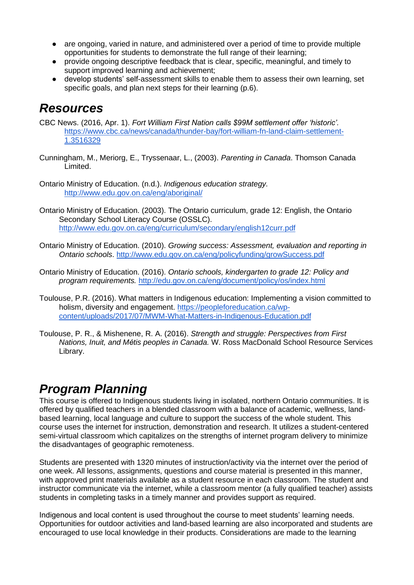- are ongoing, varied in nature, and administered over a period of time to provide multiple opportunities for students to demonstrate the full range of their learning;
- provide ongoing descriptive feedback that is clear, specific, meaningful, and timely to support improved learning and achievement;
- develop students' self-assessment skills to enable them to assess their own learning, set specific goals, and plan next steps for their learning (p.6).

### *Resources*

- CBC News. (2016, Apr. 1). *Fort William First Nation calls \$99M settlement offer 'historic'.* [https://www.cbc.ca/news/canada/thunder-bay/fort-william-fn-land-claim-settlement-](https://www.cbc.ca/news/canada/thunder-bay/fort-william-fn-land-claim-settlement-1.3516329)[1.3516329](https://www.cbc.ca/news/canada/thunder-bay/fort-william-fn-land-claim-settlement-1.3516329)
- Cunningham, M., Meriorg, E., Tryssenaar, L., (2003). *Parenting in Canada*. Thomson Canada Limited.
- Ontario Ministry of Education. (n.d.). *Indigenous education strategy.* <http://www.edu.gov.on.ca/eng/aboriginal/>
- Ontario Ministry of Education. (2003). The Ontario curriculum, grade 12: English, the Ontario Secondary School Literacy Course (OSSLC). <http://www.edu.gov.on.ca/eng/curriculum/secondary/english12curr.pdf>
- Ontario Ministry of Education. (2010). *Growing success: Assessment, evaluation and reporting in Ontario schools*.<http://www.edu.gov.on.ca/eng/policyfunding/growSuccess.pdf>
- Ontario Ministry of Education. (2016). *Ontario schools, kindergarten to grade 12: Policy and program requirements.* <http://edu.gov.on.ca/eng/document/policy/os/index.html>
- Toulouse, P.R. (2016). What matters in Indigenous education: Implementing a vision committed to holism, diversity and engagement. [https://peopleforeducation.ca/wp](https://peopleforeducation.ca/wp-content/uploads/2017/07/MWM-What-Matters-in-Indigenous-Education.pdf)[content/uploads/2017/07/MWM-What-Matters-in-Indigenous-Education.pdf](https://peopleforeducation.ca/wp-content/uploads/2017/07/MWM-What-Matters-in-Indigenous-Education.pdf)
- Toulouse, P. R., & Mishenene, R. A. (2016). *Strength and struggle: Perspectives from First Nations, Inuit, and Métis peoples in Canada.* W. Ross MacDonald School Resource Services Library.

## *Program Planning*

This course is offered to Indigenous students living in isolated, northern Ontario communities. It is offered by qualified teachers in a blended classroom with a balance of academic, wellness, landbased learning, local language and culture to support the success of the whole student. This course uses the internet for instruction, demonstration and research. It utilizes a student-centered semi-virtual classroom which capitalizes on the strengths of internet program delivery to minimize the disadvantages of geographic remoteness.

Students are presented with 1320 minutes of instruction/activity via the internet over the period of one week. All lessons, assignments, questions and course material is presented in this manner, with approved print materials available as a student resource in each classroom. The student and instructor communicate via the internet, while a classroom mentor (a fully qualified teacher) assists students in completing tasks in a timely manner and provides support as required.

Indigenous and local content is used throughout the course to meet students' learning needs. Opportunities for outdoor activities and land-based learning are also incorporated and students are encouraged to use local knowledge in their products. Considerations are made to the learning